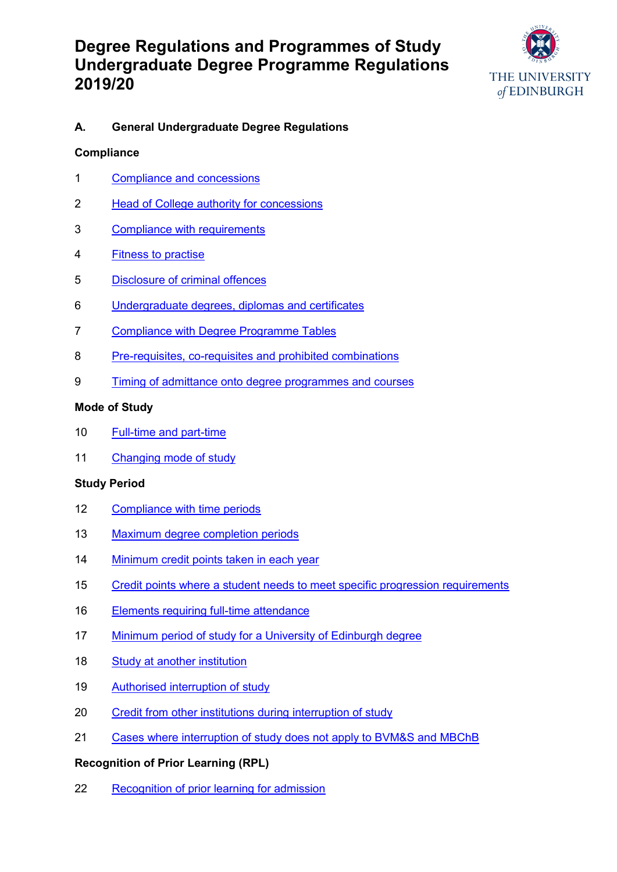

## **A. General Undergraduate Degree Regulations**

### **Compliance**

- [Compliance and concessions](#page-4-0)
- [Head of College authority for concessions](#page-4-1)
- [Compliance with requirements](#page-4-2)
- [Fitness to practise](#page-4-3)
- [Disclosure of criminal offences](#page-4-4)
- [Undergraduate degrees, diplomas and certificates](#page-5-0)
- [Compliance with Degree Programme Tables](#page-6-0)
- [Pre-requisites, co-requisites and prohibited combinations](#page-6-1)
- [Timing of admittance onto degree programmes and courses](#page-6-2)

### **Mode of Study**

- [Full-time and part-time](#page-6-3)
- [Changing mode of](#page-6-4) study

### **Study Period**

- [Compliance with time periods](#page-7-0)
- [Maximum degree completion periods](#page-7-1)
- [Minimum credit points taken in each year](#page-7-2)
- [Credit points where a student needs to meet specific progression requirements](#page-7-3)
- [Elements requiring full-time attendance](#page-7-4)
- [Minimum period of study for a University of Edinburgh degree](#page-7-5)
- [Study at another institution](#page-7-6)
- [Authorised interruption of study](#page-7-7)
- [Credit from other institutions during interruption of study](#page-7-8)
- [Cases where interruption of study does not apply to BVM&S and MBChB](#page-8-0)

### **Recognition of Prior Learning (RPL)**

[Recognition of prior learning for admission](#page-8-1)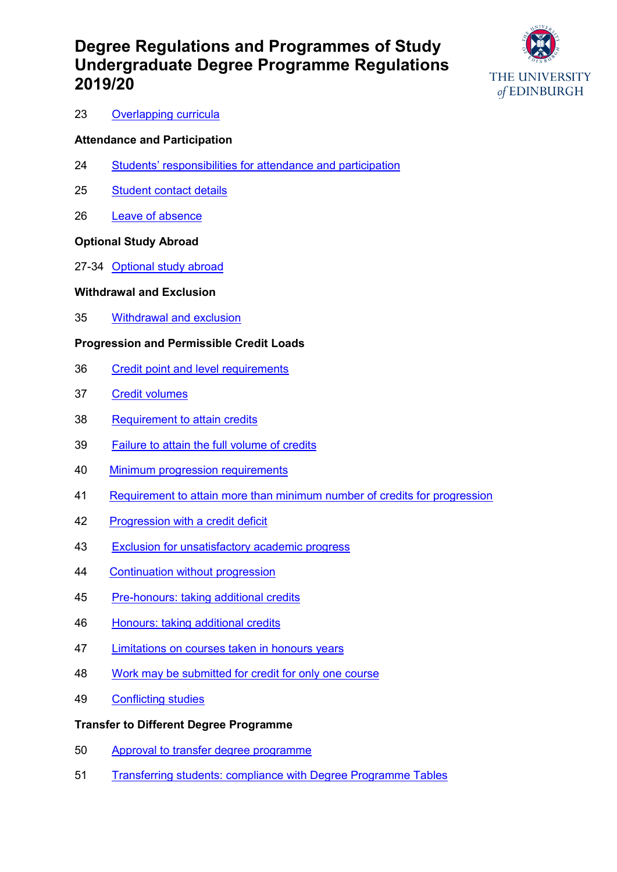

#### [Overlapping curricula](#page-8-2)

#### **Attendance and Participation**

- Students' responsibiliti[es for attendance and participation](#page-8-3)
- [Student contact details](#page-8-4)
- [Leave of absence](#page-8-5)

#### **Optional Study Abroad**

27-34 [Optional study abroad](#page-8-6)

#### **Withdrawal and Exclusion**

[Withdrawal and exclusion](#page-10-0)

#### **Progression and Permissible Credit Loads**

- [Credit point and level requirements](#page-10-1)
- [Credit volumes](#page-10-2)
- [Requirement to attain credits](#page-11-0)
- [Failure to attain the full volume of credits](#page-10-3)
- [Minimum progression requirements](#page-11-1)
- [Requirement to attain more than minimum number of credits for progression](#page-11-0)
- [Progression with a credit deficit](#page-11-2)
- [Exclusion for unsatisfactory academic progress](#page-11-3)
- [Continuation without progression](#page-11-4)
- [Pre-honours: taking additional credits](#page-11-5)
- [Honours: taking additional credits](#page-11-6)
- [Limitations on courses taken in honours years](#page-11-7)
- [Work may be submitted for credit for only one course](#page-11-8)
- [Conflicting studies](#page-12-0)

#### **Transfer to Different Degree Programme**

- [Approval to transfer degree programme](#page-12-1)
- [Transferring students: compliance with Degree Programme Tables](#page-12-2)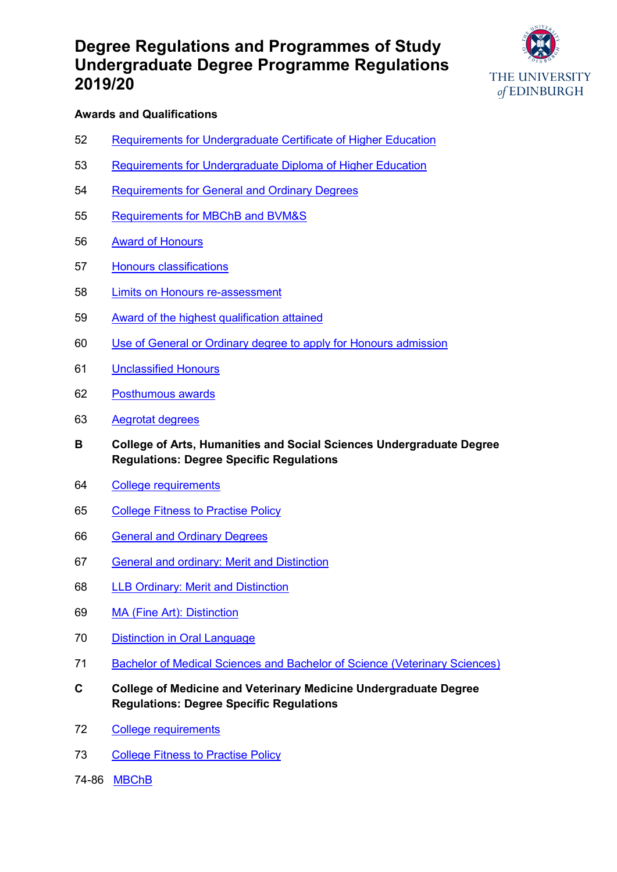

#### **Awards and Qualifications**

- [Requirements for Undergraduate Certificate of Higher Education](#page-12-3)
- [Requirements for Undergraduate Diploma of Higher Education](#page-12-4)
- [Requirements for General and Ordinary Degrees](#page-12-5)
- [Requirements for MBChB and BVM&S](#page-12-6)
- [Award of Honours](#page-12-7)
- [Honours classifications](#page-12-8)
- [Limits on Honours re-assessment](#page-12-9)
- [Award of the highest qualification attained](#page-13-0)
- [Use of General or Ordinary degree to apply for Honours admission](#page-13-1)
- [Unclassified Honours](#page-13-2)
- [Posthumous awards](#page-13-3)
- [Aegrotat degrees](#page-13-4)
- **B College of Arts, Humanities and Social Sciences Undergraduate Degree Regulations: Degree Specific Regulations**
- [College requirements](#page-14-0)
- [College Fitness to Practise Policy](#page-14-1)
- [General and Ordinary Degrees](#page-14-2)
- [General and ordinary: Merit and Distinction](#page-15-0)
- [LLB Ordinary: Merit and Distinction](#page-15-1)
- [MA \(Fine Art\): Distinction](#page-15-2)
- [Distinction in Oral Language](#page-15-3)
- [Bachelor of Medical Sciences and Bachelor of Science \(Veterinary Sciences\)](#page-15-4)
- **C College of Medicine and Veterinary Medicine Undergraduate Degree Regulations: Degree Specific Regulations**
- [College requirements](#page-16-0)
- [College Fitness to Practise Policy](#page-16-1)
- 74-86[MBChB](#page-16-2)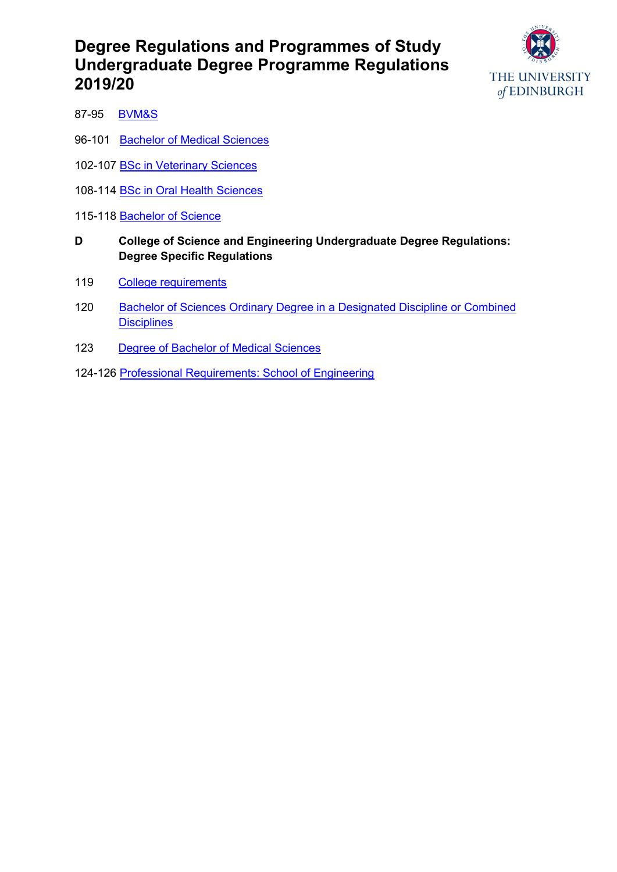

- 87-95 [BVM&S](#page-17-0)
- 96-101 [Bachelor of Medical Sciences](#page-19-0)
- 102-107 [BSc in Veterinary Sciences](#page-19-1)
- 108-114 [BSc in Oral Health Sciences](#page-20-0)
- 115-118 [Bachelor of](#page-21-0) Science
- **D College of Science and Engineering Undergraduate Degree Regulations: Degree Specific Regulations**
- 119 [College requirements](#page-23-0)
- 120 Bachelor of [Sciences Ordinary Degree in a Designated Discipline or Combined](#page-23-1)  **[Disciplines](#page-23-1)**
- 123 [Degree of Bachelor of Medical Sciences](#page-23-2)
- 124-126 [Professional Requirements: School of Engineering](#page-23-3)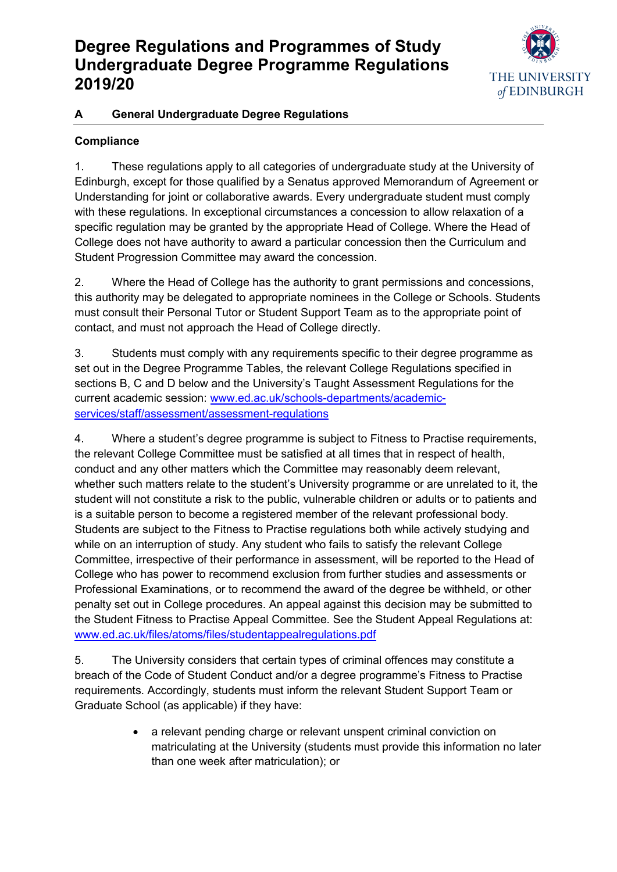

## **A General Undergraduate Degree Regulations**

# **Compliance**

<span id="page-4-0"></span>1. These regulations apply to all categories of undergraduate study at the University of Edinburgh, except for those qualified by a Senatus approved Memorandum of Agreement or Understanding for joint or collaborative awards. Every undergraduate student must comply with these regulations. In exceptional circumstances a concession to allow relaxation of a specific regulation may be granted by the appropriate Head of College. Where the Head of College does not have authority to award a particular concession then the Curriculum and Student Progression Committee may award the concession.

<span id="page-4-1"></span>2. Where the Head of College has the authority to grant permissions and concessions, this authority may be delegated to appropriate nominees in the College or Schools. Students must consult their Personal Tutor or Student Support Team as to the appropriate point of contact, and must not approach the Head of College directly.

<span id="page-4-2"></span>3. Students must comply with any requirements specific to their degree programme as set out in the Degree Programme Tables, the relevant College Regulations specified in sections B, C and D below and the University's Taught Assessment Regulations for the current academic session: [www.ed.ac.uk/schools-departments/academic](http://www.ed.ac.uk/schools-departments/academic-services/staff/assessment/assessment-regulations)[services/staff/assessment/assessment-regulations](http://www.ed.ac.uk/schools-departments/academic-services/staff/assessment/assessment-regulations)

<span id="page-4-3"></span>4. Where a student's degree programme is subject to Fitness to Practise requirements, the relevant College Committee must be satisfied at all times that in respect of health, conduct and any other matters which the Committee may reasonably deem relevant, whether such matters relate to the student's University programme or are unrelated to it, the student will not constitute a risk to the public, vulnerable children or adults or to patients and is a suitable person to become a registered member of the relevant professional body. Students are subject to the Fitness to Practise regulations both while actively studying and while on an interruption of study. Any student who fails to satisfy the relevant College Committee, irrespective of their performance in assessment, will be reported to the Head of College who has power to recommend exclusion from further studies and assessments or Professional Examinations, or to recommend the award of the degree be withheld, or other penalty set out in College procedures. An appeal against this decision may be submitted to the Student Fitness to Practise Appeal Committee. See the Student Appeal Regulations at: [www.ed.ac.uk/files/atoms/files/studentappealregulations.pdf](file://///ed/dst/shared/SASG/AAPS/D-AcademicAdministration/01-DegreeRegulation&ProgrammesOfStudy/01-Editing/02-AnnualReview/2018-19/UG/www.ed.ac.uk/files/atoms/files/studentappealregulations.pdf)

<span id="page-4-4"></span>5. The University considers that certain types of criminal offences may constitute a breach of the Code of Student Conduct and/or a degree programme's Fitness to Practise requirements. Accordingly, students must inform the relevant Student Support Team or Graduate School (as applicable) if they have:

> a relevant pending charge or relevant unspent criminal conviction on matriculating at the University (students must provide this information no later than one week after matriculation); or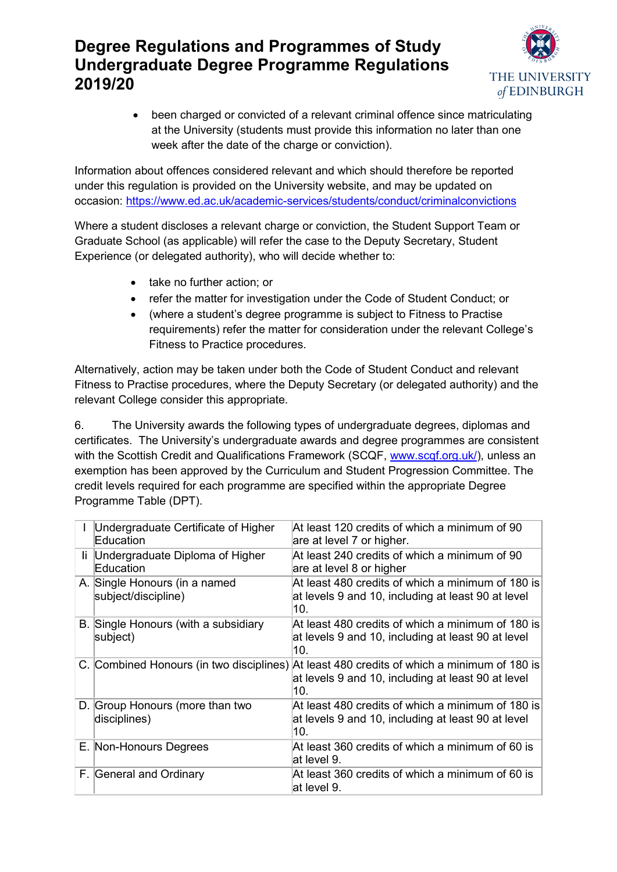

 been charged or convicted of a relevant criminal offence since matriculating at the University (students must provide this information no later than one week after the date of the charge or conviction).

Information about offences considered relevant and which should therefore be reported under this regulation is provided on the University website, and may be updated on occasion:<https://www.ed.ac.uk/academic-services/students/conduct/criminalconvictions>

Where a student discloses a relevant charge or conviction, the Student Support Team or Graduate School (as applicable) will refer the case to the Deputy Secretary, Student Experience (or delegated authority), who will decide whether to:

- take no further action; or
- refer the matter for investigation under the Code of Student Conduct; or
- (where a student's degree programme is subject to Fitness to Practise requirements) refer the matter for consideration under the relevant College's Fitness to Practice procedures.

Alternatively, action may be taken under both the Code of Student Conduct and relevant Fitness to Practise procedures, where the Deputy Secretary (or delegated authority) and the relevant College consider this appropriate.

<span id="page-5-0"></span>6. The University awards the following types of undergraduate degrees, diplomas and certificates. The University's undergraduate awards and degree programmes are consistent with the Scottish Credit and Qualifications Framework (SCQF, [www.scqf.org.uk/\)](http://www.scqf.org.uk/), unless an exemption has been approved by the Curriculum and Student Progression Committee. The credit levels required for each programme are specified within the appropriate Degree Programme Table (DPT).

|     | Undergraduate Certificate of Higher<br>Education     | At least 120 credits of which a minimum of 90<br>are at level 7 or higher.                                                                              |
|-----|------------------------------------------------------|---------------------------------------------------------------------------------------------------------------------------------------------------------|
| li. | Undergraduate Diploma of Higher<br>Education         | At least 240 credits of which a minimum of 90<br>are at level 8 or higher                                                                               |
|     | A. Single Honours (in a named<br>subject/discipline) | At least 480 credits of which a minimum of 180 is<br>at levels 9 and 10, including at least 90 at level<br>10.                                          |
|     | B. Single Honours (with a subsidiary<br>subject)     | At least 480 credits of which a minimum of 180 is<br>at levels 9 and 10, including at least 90 at level<br>10.                                          |
|     |                                                      | C. Combined Honours (in two disciplines) At least 480 credits of which a minimum of 180 is<br>at levels 9 and 10, including at least 90 at level<br>10. |
|     | D. Group Honours (more than two<br>disciplines)      | At least 480 credits of which a minimum of 180 is<br>at levels 9 and 10, including at least 90 at level<br>10.                                          |
|     | E. Non-Honours Degrees                               | At least 360 credits of which a minimum of 60 is<br>lat level 9.                                                                                        |
|     | F. General and Ordinary                              | At least 360 credits of which a minimum of 60 is<br>lat level 9.                                                                                        |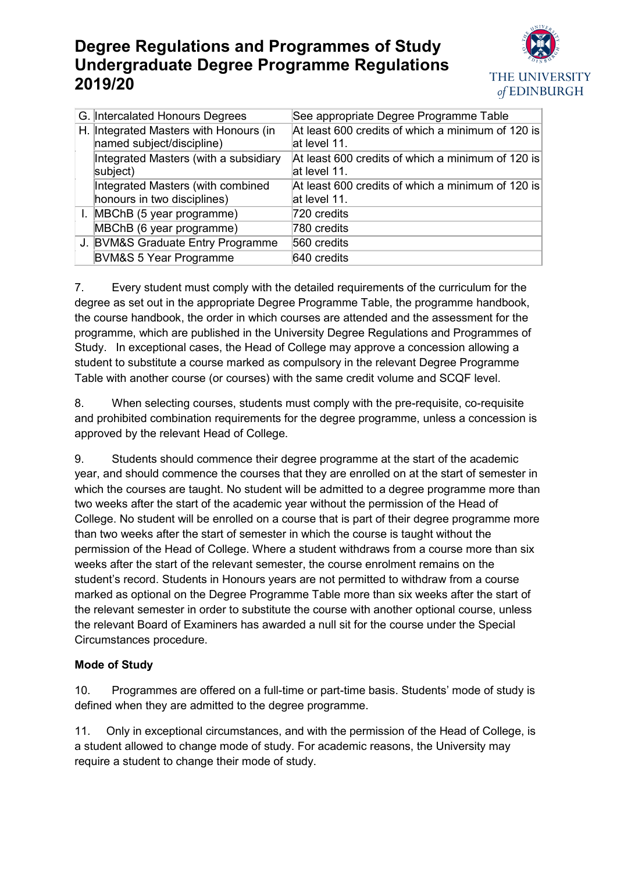

|  | G. Intercalated Honours Degrees                                     | See appropriate Degree Programme Table                            |
|--|---------------------------------------------------------------------|-------------------------------------------------------------------|
|  | H. Integrated Masters with Honours (in<br>named subject/discipline) | At least 600 credits of which a minimum of 120 is<br>at level 11. |
|  | Integrated Masters (with a subsidiary<br>subject)                   | At least 600 credits of which a minimum of 120 is<br>at level 11. |
|  | Integrated Masters (with combined<br>honours in two disciplines)    | At least 600 credits of which a minimum of 120 is<br>at level 11. |
|  | I. MBChB (5 year programme)                                         | 720 credits                                                       |
|  | MBChB (6 year programme)                                            | 780 credits                                                       |
|  | J. BVM&S Graduate Entry Programme                                   | 560 credits                                                       |
|  | <b>BVM&amp;S 5 Year Programme</b>                                   | 640 credits                                                       |

<span id="page-6-0"></span>7. Every student must comply with the detailed requirements of the curriculum for the degree as set out in the appropriate Degree Programme Table, the programme handbook, the course handbook, the order in which courses are attended and the assessment for the programme, which are published in the University Degree Regulations and Programmes of Study. In exceptional cases, the Head of College may approve a concession allowing a student to substitute a course marked as compulsory in the relevant Degree Programme Table with another course (or courses) with the same credit volume and SCQF level.

<span id="page-6-1"></span>8. When selecting courses, students must comply with the pre-requisite, co-requisite and prohibited combination requirements for the degree programme, unless a concession is approved by the relevant Head of College.

<span id="page-6-2"></span>9. Students should commence their degree programme at the start of the academic year, and should commence the courses that they are enrolled on at the start of semester in which the courses are taught. No student will be admitted to a degree programme more than two weeks after the start of the academic year without the permission of the Head of College. No student will be enrolled on a course that is part of their degree programme more than two weeks after the start of semester in which the course is taught without the permission of the Head of College. Where a student withdraws from a course more than six weeks after the start of the relevant semester, the course enrolment remains on the student's record. Students in Honours years are not permitted to withdraw from a course marked as optional on the Degree Programme Table more than six weeks after the start of the relevant semester in order to substitute the course with another optional course, unless the relevant Board of Examiners has awarded a null sit for the course under the Special Circumstances procedure.

## **Mode of Study**

<span id="page-6-3"></span>10. Programmes are offered on a full-time or part-time basis. Students' mode of study is defined when they are admitted to the degree programme.

<span id="page-6-4"></span>11. Only in exceptional circumstances, and with the permission of the Head of College, is a student allowed to change mode of study. For academic reasons, the University may require a student to change their mode of study.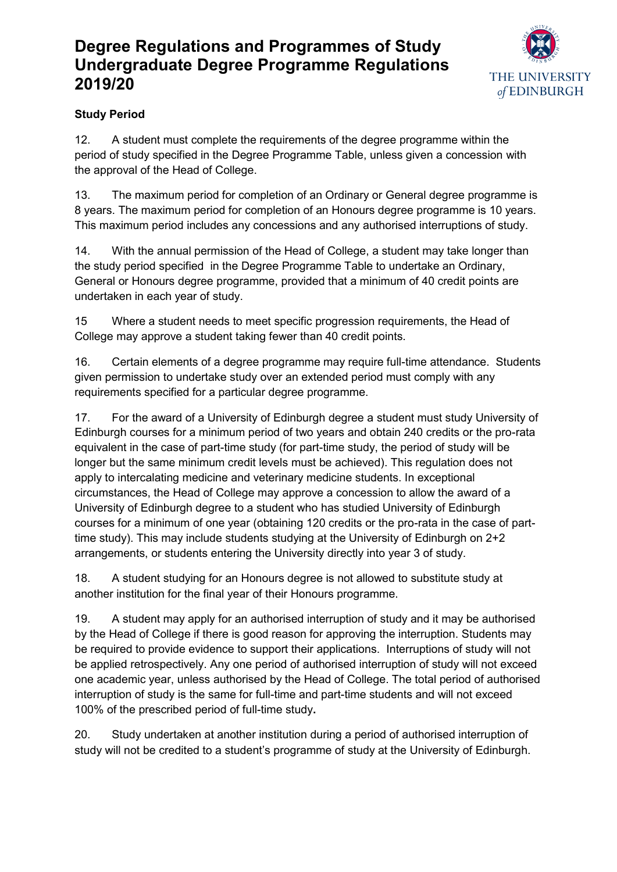

# **Study Period**

<span id="page-7-0"></span>12. A student must complete the requirements of the degree programme within the period of study specified in the Degree Programme Table, unless given a concession with the approval of the Head of College.

<span id="page-7-1"></span>13. The maximum period for completion of an Ordinary or General degree programme is 8 years. The maximum period for completion of an Honours degree programme is 10 years. This maximum period includes any concessions and any authorised interruptions of study.

<span id="page-7-2"></span>14. With the annual permission of the Head of College, a student may take longer than the study period specified in the Degree Programme Table to undertake an Ordinary, General or Honours degree programme, provided that a minimum of 40 credit points are undertaken in each year of study.

<span id="page-7-3"></span>15 Where a student needs to meet specific progression requirements, the Head of College may approve a student taking fewer than 40 credit points.

<span id="page-7-4"></span>16. Certain elements of a degree programme may require full-time attendance. Students given permission to undertake study over an extended period must comply with any requirements specified for a particular degree programme.

<span id="page-7-5"></span>17. For the award of a University of Edinburgh degree a student must study University of Edinburgh courses for a minimum period of two years and obtain 240 credits or the pro-rata equivalent in the case of part-time study (for part-time study, the period of study will be longer but the same minimum credit levels must be achieved). This regulation does not apply to intercalating medicine and veterinary medicine students. In exceptional circumstances, the Head of College may approve a concession to allow the award of a University of Edinburgh degree to a student who has studied University of Edinburgh courses for a minimum of one year (obtaining 120 credits or the pro-rata in the case of parttime study). This may include students studying at the University of Edinburgh on 2+2 arrangements, or students entering the University directly into year 3 of study.

<span id="page-7-6"></span>18. A student studying for an Honours degree is not allowed to substitute study at another institution for the final year of their Honours programme.

<span id="page-7-7"></span>19. A student may apply for an authorised interruption of study and it may be authorised by the Head of College if there is good reason for approving the interruption. Students may be required to provide evidence to support their applications. Interruptions of study will not be applied retrospectively. Any one period of authorised interruption of study will not exceed one academic year, unless authorised by the Head of College. The total period of authorised interruption of study is the same for full-time and part-time students and will not exceed 100% of the prescribed period of full-time study**.**

<span id="page-7-8"></span>20. Study undertaken at another institution during a period of authorised interruption of study will not be credited to a student's programme of study at the University of Edinburgh.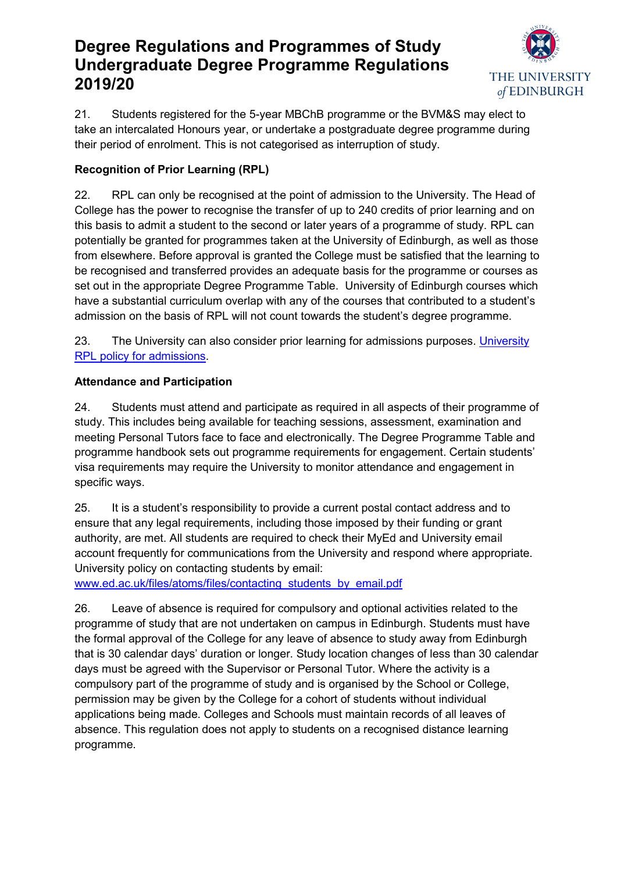

<span id="page-8-0"></span>21. Students registered for the 5-year MBChB programme or the BVM&S may elect to take an intercalated Honours year, or undertake a postgraduate degree programme during their period of enrolment. This is not categorised as interruption of study.

# **Recognition of Prior Learning (RPL)**

<span id="page-8-1"></span>22. RPL can only be recognised at the point of admission to the University. The Head of College has the power to recognise the transfer of up to 240 credits of prior learning and on this basis to admit a student to the second or later years of a programme of study. RPL can potentially be granted for programmes taken at the University of Edinburgh, as well as those from elsewhere. Before approval is granted the College must be satisfied that the learning to be recognised and transferred provides an adequate basis for the programme or courses as set out in the appropriate Degree Programme Table. University of Edinburgh courses which have a substantial curriculum overlap with any of the courses that contributed to a student's admission on the basis of RPL will not count towards the student's degree programme.

<span id="page-8-2"></span>23. The [University](https://www.ed.ac.uk/files/imports/fileManager/Recognition%20of%20prior%20learning%20policy%20Sept%202014.pdf) can also consider prior learning for admissions purposes. University [RPL policy for admissions.](https://www.ed.ac.uk/files/imports/fileManager/Recognition%20of%20prior%20learning%20policy%20Sept%202014.pdf)

## **Attendance and Participation**

<span id="page-8-3"></span>24. Students must attend and participate as required in all aspects of their programme of study. This includes being available for teaching sessions, assessment, examination and meeting Personal Tutors face to face and electronically. The Degree Programme Table and programme handbook sets out programme requirements for engagement. Certain students' visa requirements may require the University to monitor attendance and engagement in specific ways.

<span id="page-8-4"></span>25. It is a student's responsibility to provide a current postal contact address and to ensure that any legal requirements, including those imposed by their funding or grant authority, are met. All students are required to check their MyEd and University email account frequently for communications from the University and respond where appropriate. University policy on contacting students by email:

[www.ed.ac.uk/files/atoms/files/contacting\\_students\\_by\\_email.pdf](http://www.ed.ac.uk/files/atoms/files/contacting_students_by_email.pdf)

<span id="page-8-6"></span><span id="page-8-5"></span>26. Leave of absence is required for compulsory and optional activities related to the programme of study that are not undertaken on campus in Edinburgh. Students must have the formal approval of the College for any leave of absence to study away from Edinburgh that is 30 calendar days' duration or longer. Study location changes of less than 30 calendar days must be agreed with the Supervisor or Personal Tutor. Where the activity is a compulsory part of the programme of study and is organised by the School or College, permission may be given by the College for a cohort of students without individual applications being made. Colleges and Schools must maintain records of all leaves of absence. This regulation does not apply to students on a recognised distance learning programme.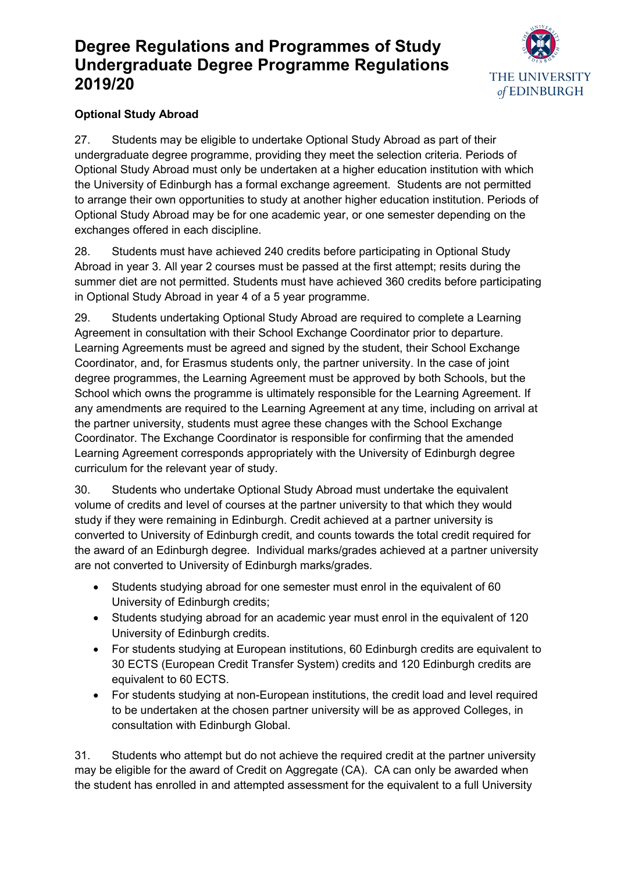

# **Optional Study Abroad**

27. Students may be eligible to undertake Optional Study Abroad as part of their undergraduate degree programme, providing they meet the selection criteria. Periods of Optional Study Abroad must only be undertaken at a higher education institution with which the University of Edinburgh has a formal exchange agreement. Students are not permitted to arrange their own opportunities to study at another higher education institution. Periods of Optional Study Abroad may be for one academic year, or one semester depending on the exchanges offered in each discipline.

28. Students must have achieved 240 credits before participating in Optional Study Abroad in year 3. All year 2 courses must be passed at the first attempt; resits during the summer diet are not permitted. Students must have achieved 360 credits before participating in Optional Study Abroad in year 4 of a 5 year programme.

29. Students undertaking Optional Study Abroad are required to complete a Learning Agreement in consultation with their School Exchange Coordinator prior to departure. Learning Agreements must be agreed and signed by the student, their School Exchange Coordinator, and, for Erasmus students only, the partner university. In the case of joint degree programmes, the Learning Agreement must be approved by both Schools, but the School which owns the programme is ultimately responsible for the Learning Agreement. If any amendments are required to the Learning Agreement at any time, including on arrival at the partner university, students must agree these changes with the School Exchange Coordinator. The Exchange Coordinator is responsible for confirming that the amended Learning Agreement corresponds appropriately with the University of Edinburgh degree curriculum for the relevant year of study.

30. Students who undertake Optional Study Abroad must undertake the equivalent volume of credits and level of courses at the partner university to that which they would study if they were remaining in Edinburgh. Credit achieved at a partner university is converted to University of Edinburgh credit, and counts towards the total credit required for the award of an Edinburgh degree. Individual marks/grades achieved at a partner university are not converted to University of Edinburgh marks/grades.

- Students studying abroad for one semester must enrol in the equivalent of 60 University of Edinburgh credits;
- Students studying abroad for an academic year must enrol in the equivalent of 120 University of Edinburgh credits.
- For students studying at European institutions, 60 Edinburgh credits are equivalent to 30 ECTS (European Credit Transfer System) credits and 120 Edinburgh credits are equivalent to 60 ECTS.
- For students studying at non-European institutions, the credit load and level required to be undertaken at the chosen partner university will be as approved Colleges, in consultation with Edinburgh Global.

31. Students who attempt but do not achieve the required credit at the partner university may be eligible for the award of Credit on Aggregate (CA). CA can only be awarded when the student has enrolled in and attempted assessment for the equivalent to a full University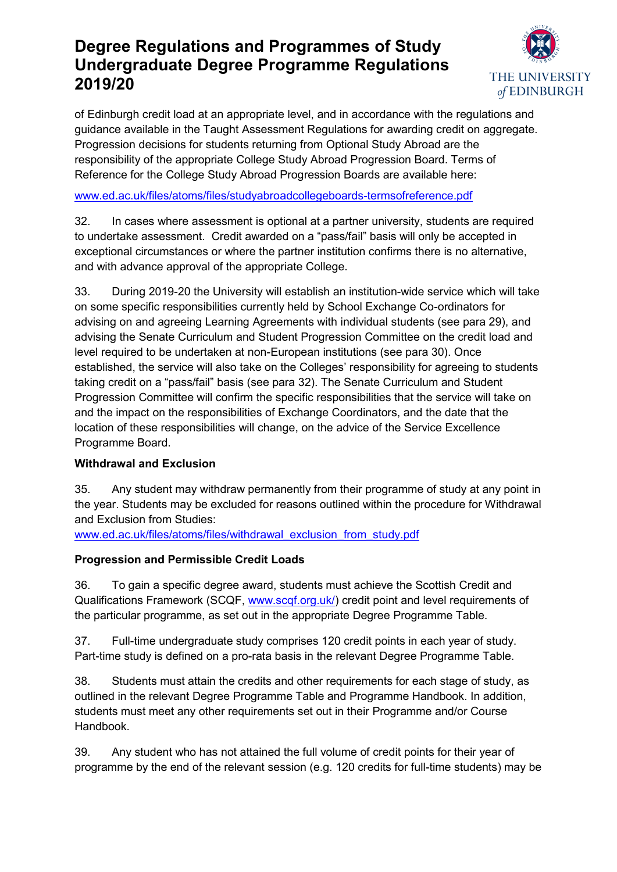

of Edinburgh credit load at an appropriate level, and in accordance with the regulations and guidance available in the Taught Assessment Regulations for awarding credit on aggregate. Progression decisions for students returning from Optional Study Abroad are the responsibility of the appropriate College Study Abroad Progression Board. Terms of Reference for the College Study Abroad Progression Boards are available here:

### [www.ed.ac.uk/files/atoms/files/studyabroadcollegeboards-termsofreference.pdf](http://www.ed.ac.uk/files/atoms/files/studyabroadcollegeboards-termsofreference.pdf)

32. In cases where assessment is optional at a partner university, students are required to undertake assessment. Credit awarded on a "pass/fail" basis will only be accepted in exceptional circumstances or where the partner institution confirms there is no alternative, and with advance approval of the appropriate College.

33. During 2019-20 the University will establish an institution-wide service which will take on some specific responsibilities currently held by School Exchange Co-ordinators for advising on and agreeing Learning Agreements with individual students (see para 29), and advising the Senate Curriculum and Student Progression Committee on the credit load and level required to be undertaken at non-European institutions (see para 30). Once established, the service will also take on the Colleges' responsibility for agreeing to students taking credit on a "pass/fail" basis (see para 32). The Senate Curriculum and Student Progression Committee will confirm the specific responsibilities that the service will take on and the impact on the responsibilities of Exchange Coordinators, and the date that the location of these responsibilities will change, on the advice of the Service Excellence Programme Board.

### **Withdrawal and Exclusion**

<span id="page-10-0"></span>35. Any student may withdraw permanently from their programme of study at any point in the year. Students may be excluded for reasons outlined within the procedure for Withdrawal and Exclusion from Studies:

[www.ed.ac.uk/files/atoms/files/withdrawal\\_exclusion\\_from\\_study.pdf](http://www.ed.ac.uk/files/atoms/files/withdrawal_exclusion_from_study.pdf)

### **Progression and Permissible Credit Loads**

<span id="page-10-1"></span>36. To gain a specific degree award, students must achieve the Scottish Credit and Qualifications Framework (SCQF, [www.scqf.org.uk/\)](http://www.scqf.org.uk/) credit point and level requirements of the particular programme, as set out in the appropriate Degree Programme Table.

<span id="page-10-2"></span>37. Full-time undergraduate study comprises 120 credit points in each year of study. Part-time study is defined on a pro-rata basis in the relevant Degree Programme Table.

38. Students must attain the credits and other requirements for each stage of study, as outlined in the relevant Degree Programme Table and Programme Handbook. In addition, students must meet any other requirements set out in their Programme and/or Course Handbook.

<span id="page-10-3"></span>39. Any student who has not attained the full volume of credit points for their year of programme by the end of the relevant session (e.g. 120 credits for full-time students) may be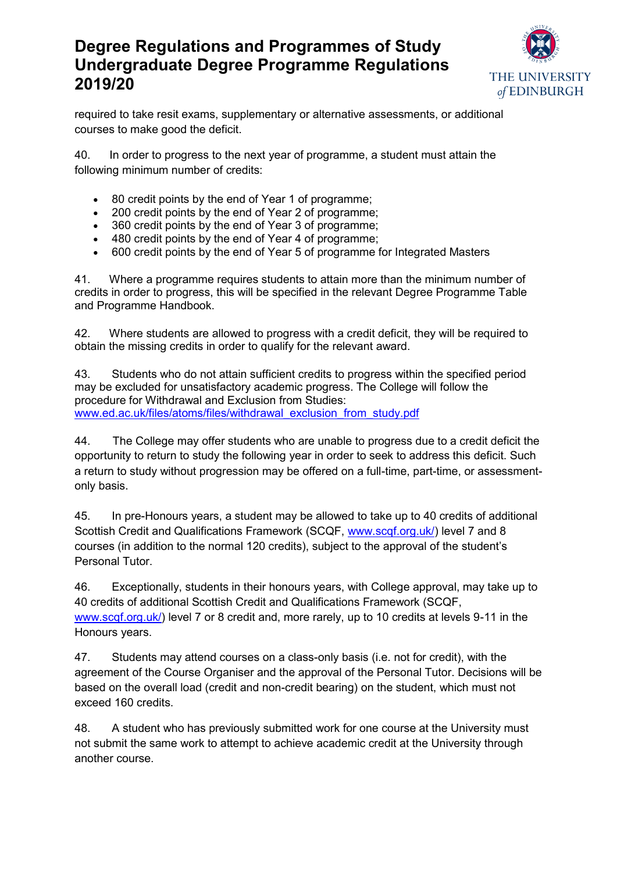

required to take resit exams, supplementary or alternative assessments, or additional courses to make good the deficit.

<span id="page-11-1"></span>40. In order to progress to the next year of programme, a student must attain the following minimum number of credits:

- 80 credit points by the end of Year 1 of programme;
- 200 credit points by the end of Year 2 of programme;
- 360 credit points by the end of Year 3 of programme;
- 480 credit points by the end of Year 4 of programme;
- 600 credit points by the end of Year 5 of programme for Integrated Masters

<span id="page-11-0"></span>41. Where a programme requires students to attain more than the minimum number of credits in order to progress, this will be specified in the relevant Degree Programme Table and Programme Handbook.

<span id="page-11-2"></span>42. Where students are allowed to progress with a credit deficit, they will be required to obtain the missing credits in order to qualify for the relevant award.

<span id="page-11-3"></span>43. Students who do not attain sufficient credits to progress within the specified period may be excluded for unsatisfactory academic progress. The College will follow the procedure for Withdrawal and Exclusion from Studies: [www.ed.ac.uk/files/atoms/files/withdrawal\\_exclusion\\_from\\_study.pdf](http://www.ed.ac.uk/files/atoms/files/withdrawal_exclusion_from_study.pdf)

<span id="page-11-4"></span>44. The College may offer students who are unable to progress due to a credit deficit the opportunity to return to study the following year in order to seek to address this deficit. Such a return to study without progression may be offered on a full-time, part-time, or assessmentonly basis.

<span id="page-11-5"></span>45. In pre-Honours years, a student may be allowed to take up to 40 credits of additional Scottish Credit and Qualifications Framework (SCQF, [www.scqf.org.uk/\)](http://www.scqf.org.uk/) level 7 and 8 courses (in addition to the normal 120 credits), subject to the approval of the student's Personal Tutor.

<span id="page-11-6"></span>46. Exceptionally, students in their honours years, with College approval, may take up to 40 credits of additional Scottish Credit and Qualifications Framework (SCQF, [www.scqf.org.uk/\)](http://www.scqf.org.uk/) level 7 or 8 credit and, more rarely, up to 10 credits at levels 9-11 in the Honours years.

<span id="page-11-7"></span>47. Students may attend courses on a class-only basis (i.e. not for credit), with the agreement of the Course Organiser and the approval of the Personal Tutor. Decisions will be based on the overall load (credit and non-credit bearing) on the student, which must not exceed 160 credits.

<span id="page-11-8"></span>48. A student who has previously submitted work for one course at the University must not submit the same work to attempt to achieve academic credit at the University through another course.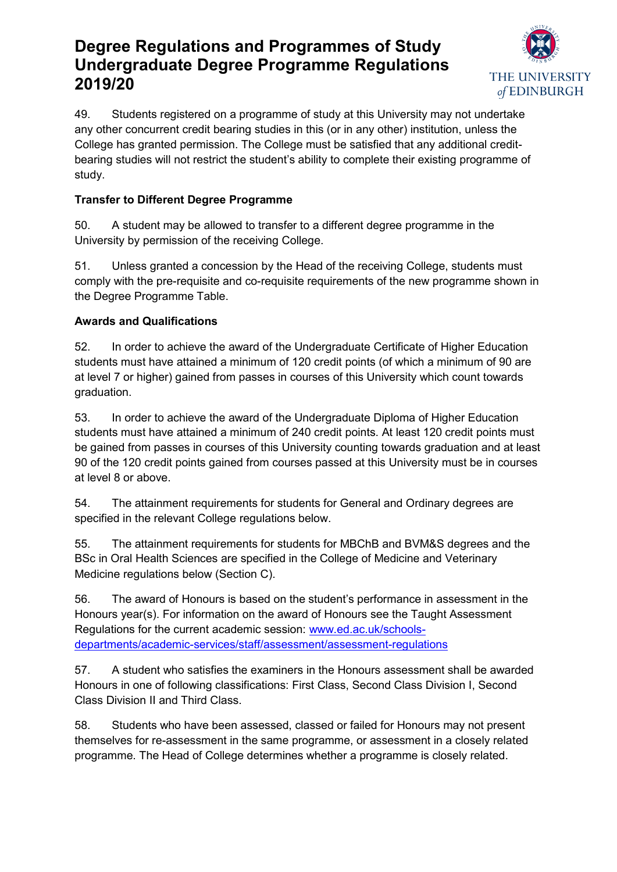

<span id="page-12-0"></span>49. Students registered on a programme of study at this University may not undertake any other concurrent credit bearing studies in this (or in any other) institution, unless the College has granted permission. The College must be satisfied that any additional creditbearing studies will not restrict the student's ability to complete their existing programme of study.

## **Transfer to Different Degree Programme**

<span id="page-12-1"></span>50. A student may be allowed to transfer to a different degree programme in the University by permission of the receiving College.

<span id="page-12-2"></span>51. Unless granted a concession by the Head of the receiving College, students must comply with the pre-requisite and co-requisite requirements of the new programme shown in the Degree Programme Table.

## **Awards and Qualifications**

<span id="page-12-3"></span>52. In order to achieve the award of the Undergraduate Certificate of Higher Education students must have attained a minimum of 120 credit points (of which a minimum of 90 are at level 7 or higher) gained from passes in courses of this University which count towards graduation.

<span id="page-12-4"></span>53. In order to achieve the award of the Undergraduate Diploma of Higher Education students must have attained a minimum of 240 credit points. At least 120 credit points must be gained from passes in courses of this University counting towards graduation and at least 90 of the 120 credit points gained from courses passed at this University must be in courses at level 8 or above.

<span id="page-12-5"></span>54. The attainment requirements for students for General and Ordinary degrees are specified in the relevant College regulations below.

<span id="page-12-6"></span>55. The attainment requirements for students for MBChB and BVM&S degrees and the BSc in Oral Health Sciences are specified in the College of Medicine and Veterinary Medicine regulations below (Section C).

<span id="page-12-7"></span>56. The award of Honours is based on the student's performance in assessment in the Honours year(s). For information on the award of Honours see the Taught Assessment Regulations for the current academic session: [www.ed.ac.uk/schools](http://www.ed.ac.uk/schools-departments/academic-services/staff/assessment/assessment-regulations)[departments/academic-services/staff/assessment/assessment-regulations](http://www.ed.ac.uk/schools-departments/academic-services/staff/assessment/assessment-regulations)

<span id="page-12-8"></span>57. A student who satisfies the examiners in the Honours assessment shall be awarded Honours in one of following classifications: First Class, Second Class Division I, Second Class Division II and Third Class.

<span id="page-12-9"></span>58. Students who have been assessed, classed or failed for Honours may not present themselves for re-assessment in the same programme, or assessment in a closely related programme. The Head of College determines whether a programme is closely related.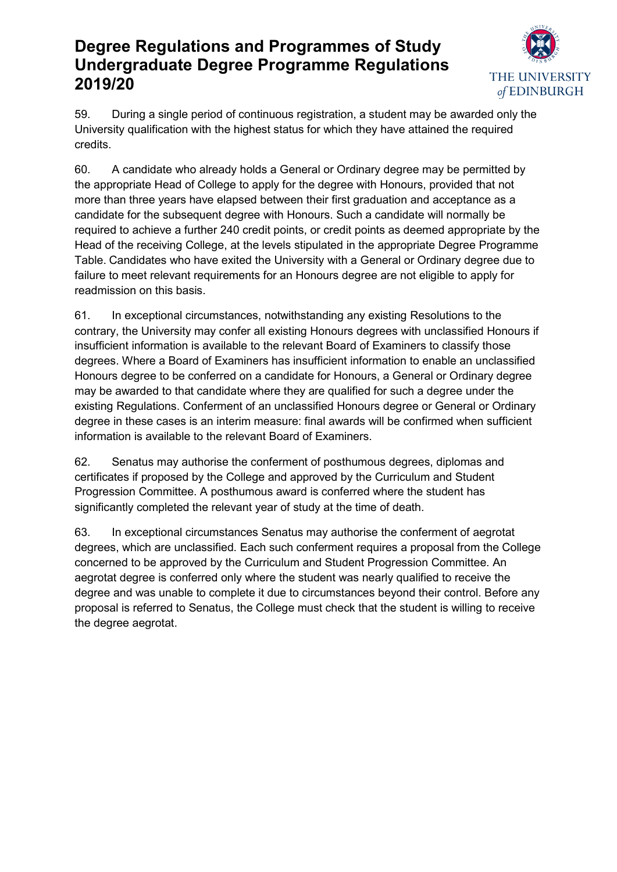

<span id="page-13-0"></span>59. During a single period of continuous registration, a student may be awarded only the University qualification with the highest status for which they have attained the required credits.

<span id="page-13-1"></span>60. A candidate who already holds a General or Ordinary degree may be permitted by the appropriate Head of College to apply for the degree with Honours, provided that not more than three years have elapsed between their first graduation and acceptance as a candidate for the subsequent degree with Honours. Such a candidate will normally be required to achieve a further 240 credit points, or credit points as deemed appropriate by the Head of the receiving College, at the levels stipulated in the appropriate Degree Programme Table. Candidates who have exited the University with a General or Ordinary degree due to failure to meet relevant requirements for an Honours degree are not eligible to apply for readmission on this basis.

<span id="page-13-2"></span>61. In exceptional circumstances, notwithstanding any existing Resolutions to the contrary, the University may confer all existing Honours degrees with unclassified Honours if insufficient information is available to the relevant Board of Examiners to classify those degrees. Where a Board of Examiners has insufficient information to enable an unclassified Honours degree to be conferred on a candidate for Honours, a General or Ordinary degree may be awarded to that candidate where they are qualified for such a degree under the existing Regulations. Conferment of an unclassified Honours degree or General or Ordinary degree in these cases is an interim measure: final awards will be confirmed when sufficient information is available to the relevant Board of Examiners.

<span id="page-13-3"></span>62. Senatus may authorise the conferment of posthumous degrees, diplomas and certificates if proposed by the College and approved by the Curriculum and Student Progression Committee. A posthumous award is conferred where the student has significantly completed the relevant year of study at the time of death.

<span id="page-13-4"></span>63. In exceptional circumstances Senatus may authorise the conferment of aegrotat degrees, which are unclassified. Each such conferment requires a proposal from the College concerned to be approved by the Curriculum and Student Progression Committee. An aegrotat degree is conferred only where the student was nearly qualified to receive the degree and was unable to complete it due to circumstances beyond their control. Before any proposal is referred to Senatus, the College must check that the student is willing to receive the degree aegrotat.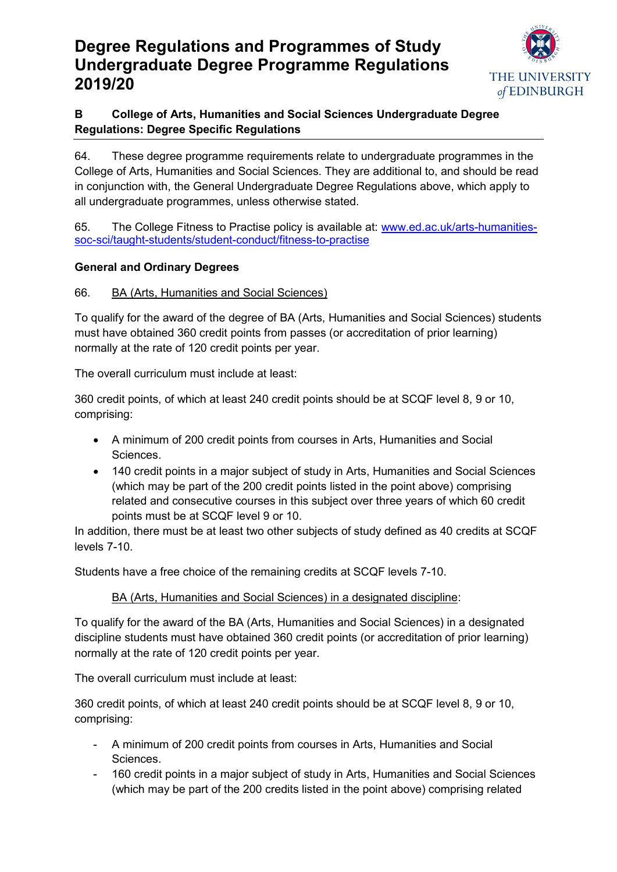

# **B College of Arts, Humanities and Social Sciences Undergraduate Degree Regulations: Degree Specific Regulations**

<span id="page-14-0"></span>64. These degree programme requirements relate to undergraduate programmes in the College of Arts, Humanities and Social Sciences. They are additional to, and should be read in conjunction with, the General Undergraduate Degree Regulations above, which apply to all undergraduate programmes, unless otherwise stated.

<span id="page-14-1"></span>65. The College Fitness to Practise policy is available at: [www.ed.ac.uk/arts-humanities](http://www.ed.ac.uk/arts-humanities-soc-sci/taught-students/student-conduct/fitness-to-practise)[soc-sci/taught-students/student-conduct/fitness-to-practise](http://www.ed.ac.uk/arts-humanities-soc-sci/taught-students/student-conduct/fitness-to-practise)

### **General and Ordinary Degrees**

### <span id="page-14-2"></span>66. BA (Arts, Humanities and Social Sciences)

To qualify for the award of the degree of BA (Arts, Humanities and Social Sciences) students must have obtained 360 credit points from passes (or accreditation of prior learning) normally at the rate of 120 credit points per year.

The overall curriculum must include at least:

360 credit points, of which at least 240 credit points should be at SCQF level 8, 9 or 10, comprising:

- A minimum of 200 credit points from courses in Arts, Humanities and Social Sciences.
- 140 credit points in a major subject of study in Arts, Humanities and Social Sciences (which may be part of the 200 credit points listed in the point above) comprising related and consecutive courses in this subject over three years of which 60 credit points must be at SCQF level 9 or 10.

In addition, there must be at least two other subjects of study defined as 40 credits at SCQF levels 7-10.

Students have a free choice of the remaining credits at SCQF levels 7-10.

### BA (Arts, Humanities and Social Sciences) in a designated discipline:

To qualify for the award of the BA (Arts, Humanities and Social Sciences) in a designated discipline students must have obtained 360 credit points (or accreditation of prior learning) normally at the rate of 120 credit points per year.

The overall curriculum must include at least:

360 credit points, of which at least 240 credit points should be at SCQF level 8, 9 or 10, comprising:

- A minimum of 200 credit points from courses in Arts, Humanities and Social Sciences.
- 160 credit points in a major subject of study in Arts, Humanities and Social Sciences (which may be part of the 200 credits listed in the point above) comprising related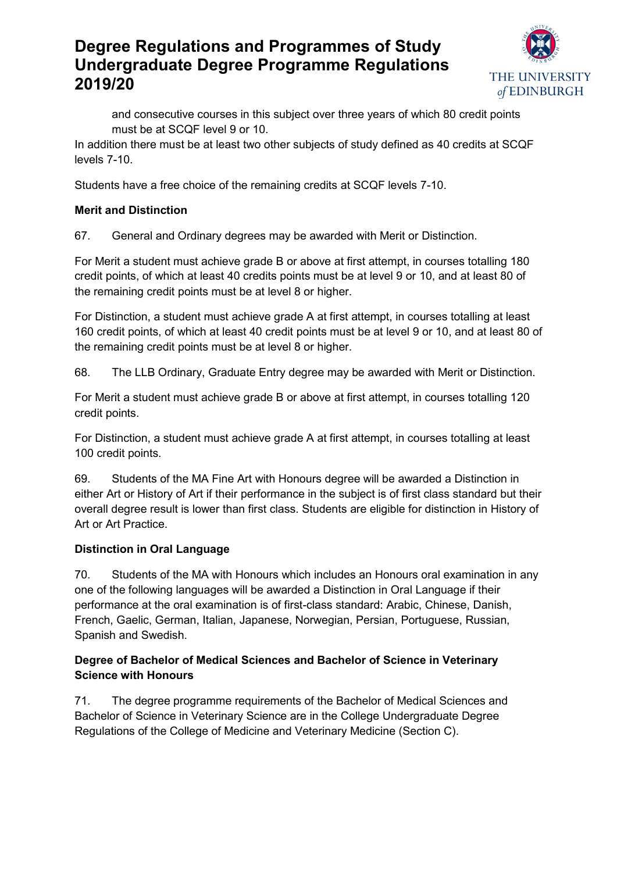

and consecutive courses in this subject over three years of which 80 credit points must be at SCQF level 9 or 10.

In addition there must be at least two other subjects of study defined as 40 credits at SCQF levels 7-10.

Students have a free choice of the remaining credits at SCQF levels 7-10.

### **Merit and Distinction**

<span id="page-15-0"></span>67. General and Ordinary degrees may be awarded with Merit or Distinction.

For Merit a student must achieve grade B or above at first attempt, in courses totalling 180 credit points, of which at least 40 credits points must be at level 9 or 10, and at least 80 of the remaining credit points must be at level 8 or higher.

For Distinction, a student must achieve grade A at first attempt, in courses totalling at least 160 credit points, of which at least 40 credit points must be at level 9 or 10, and at least 80 of the remaining credit points must be at level 8 or higher.

<span id="page-15-1"></span>68. The LLB Ordinary, Graduate Entry degree may be awarded with Merit or Distinction.

For Merit a student must achieve grade B or above at first attempt, in courses totalling 120 credit points.

For Distinction, a student must achieve grade A at first attempt, in courses totalling at least 100 credit points.

<span id="page-15-2"></span>69. Students of the MA Fine Art with Honours degree will be awarded a Distinction in either Art or History of Art if their performance in the subject is of first class standard but their overall degree result is lower than first class. Students are eligible for distinction in History of Art or Art Practice.

## **Distinction in Oral Language**

<span id="page-15-3"></span>70. Students of the MA with Honours which includes an Honours oral examination in any one of the following languages will be awarded a Distinction in Oral Language if their performance at the oral examination is of first-class standard: Arabic, Chinese, Danish, French, Gaelic, German, Italian, Japanese, Norwegian, Persian, Portuguese, Russian, Spanish and Swedish.

### **Degree of Bachelor of Medical Sciences and Bachelor of Science in Veterinary Science with Honours**

<span id="page-15-4"></span>71. The degree programme requirements of the Bachelor of Medical Sciences and Bachelor of Science in Veterinary Science are in the College Undergraduate Degree Regulations of the College of Medicine and Veterinary Medicine (Section C).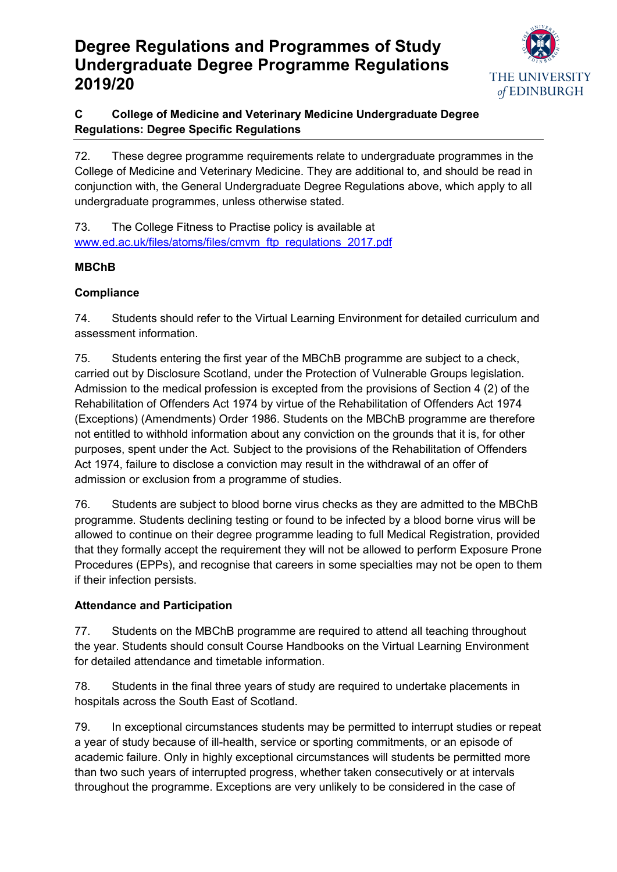

# **C College of Medicine and Veterinary Medicine Undergraduate Degree Regulations: Degree Specific Regulations**

<span id="page-16-0"></span>72. These degree programme requirements relate to undergraduate programmes in the College of Medicine and Veterinary Medicine. They are additional to, and should be read in conjunction with, the General Undergraduate Degree Regulations above, which apply to all undergraduate programmes, unless otherwise stated.

<span id="page-16-1"></span>73. The College Fitness to Practise policy is available at [www.ed.ac.uk/files/atoms/files/cmvm\\_ftp\\_regulations\\_2017.pdf](http://www.ed.ac.uk/files/atoms/files/cmvm_ftp_regulations_2017.pdf)

# **MBChB**

## **Compliance**

<span id="page-16-2"></span>74. Students should refer to the Virtual Learning Environment for detailed curriculum and assessment information.

75. Students entering the first year of the MBChB programme are subject to a check, carried out by Disclosure Scotland, under the Protection of Vulnerable Groups legislation. Admission to the medical profession is excepted from the provisions of Section 4 (2) of the Rehabilitation of Offenders Act 1974 by virtue of the Rehabilitation of Offenders Act 1974 (Exceptions) (Amendments) Order 1986. Students on the MBChB programme are therefore not entitled to withhold information about any conviction on the grounds that it is, for other purposes, spent under the Act. Subject to the provisions of the Rehabilitation of Offenders Act 1974, failure to disclose a conviction may result in the withdrawal of an offer of admission or exclusion from a programme of studies.

76. Students are subject to blood borne virus checks as they are admitted to the MBChB programme. Students declining testing or found to be infected by a blood borne virus will be allowed to continue on their degree programme leading to full Medical Registration, provided that they formally accept the requirement they will not be allowed to perform Exposure Prone Procedures (EPPs), and recognise that careers in some specialties may not be open to them if their infection persists.

# **Attendance and Participation**

77. Students on the MBChB programme are required to attend all teaching throughout the year. Students should consult Course Handbooks on the Virtual Learning Environment for detailed attendance and timetable information.

78. Students in the final three years of study are required to undertake placements in hospitals across the South East of Scotland.

79. In exceptional circumstances students may be permitted to interrupt studies or repeat a year of study because of ill-health, service or sporting commitments, or an episode of academic failure. Only in highly exceptional circumstances will students be permitted more than two such years of interrupted progress, whether taken consecutively or at intervals throughout the programme. Exceptions are very unlikely to be considered in the case of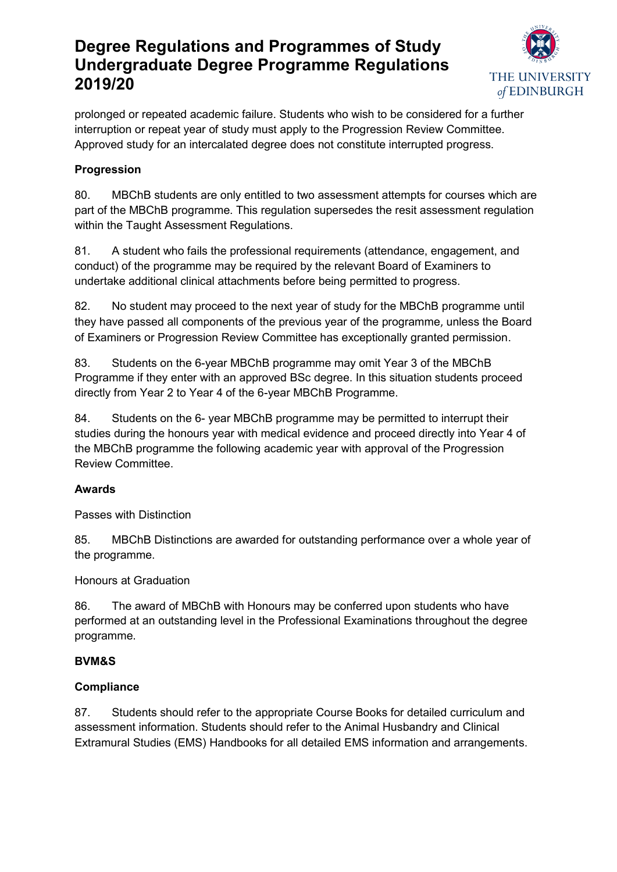

prolonged or repeated academic failure. Students who wish to be considered for a further interruption or repeat year of study must apply to the Progression Review Committee. Approved study for an intercalated degree does not constitute interrupted progress.

# **Progression**

80. MBChB students are only entitled to two assessment attempts for courses which are part of the MBChB programme. This regulation supersedes the resit assessment regulation within the Taught Assessment Regulations.

81. A student who fails the professional requirements (attendance, engagement, and conduct) of the programme may be required by the relevant Board of Examiners to undertake additional clinical attachments before being permitted to progress.

82. No student may proceed to the next year of study for the MBChB programme until they have passed all components of the previous year of the programme, unless the Board of Examiners or Progression Review Committee has exceptionally granted permission.

83. Students on the 6-year MBChB programme may omit Year 3 of the MBChB Programme if they enter with an approved BSc degree. In this situation students proceed directly from Year 2 to Year 4 of the 6-year MBChB Programme.

84. Students on the 6- year MBChB programme may be permitted to interrupt their studies during the honours year with medical evidence and proceed directly into Year 4 of the MBChB programme the following academic year with approval of the Progression Review Committee.

### **Awards**

Passes with Distinction

85. MBChB Distinctions are awarded for outstanding performance over a whole year of the programme.

Honours at Graduation

86. The award of MBChB with Honours may be conferred upon students who have performed at an outstanding level in the Professional Examinations throughout the degree programme.

## <span id="page-17-0"></span>**BVM&S**

## **Compliance**

87. Students should refer to the appropriate Course Books for detailed curriculum and assessment information. Students should refer to the Animal Husbandry and Clinical Extramural Studies (EMS) Handbooks for all detailed EMS information and arrangements.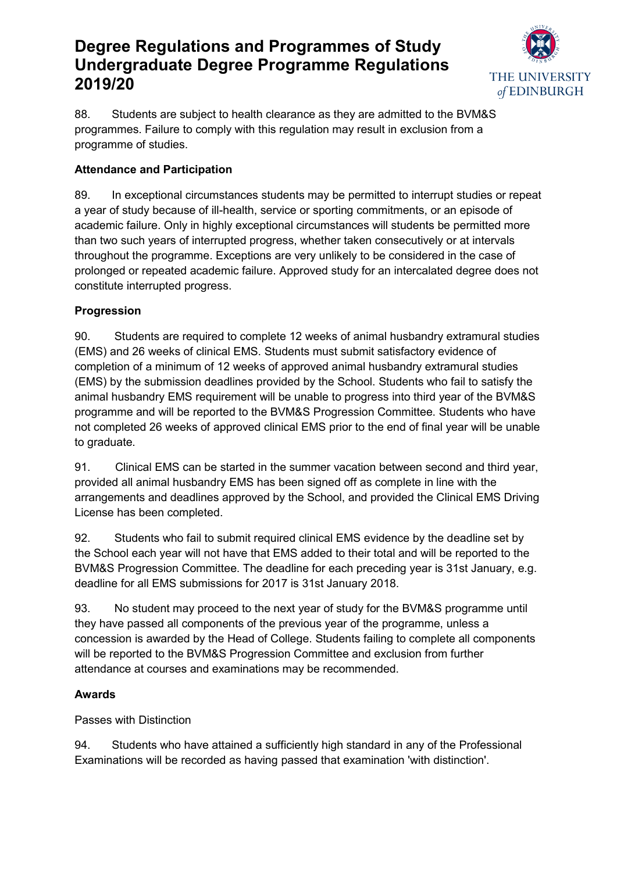

88. Students are subject to health clearance as they are admitted to the BVM&S programmes. Failure to comply with this regulation may result in exclusion from a programme of studies.

## **Attendance and Participation**

89. In exceptional circumstances students may be permitted to interrupt studies or repeat a year of study because of ill-health, service or sporting commitments, or an episode of academic failure. Only in highly exceptional circumstances will students be permitted more than two such years of interrupted progress, whether taken consecutively or at intervals throughout the programme. Exceptions are very unlikely to be considered in the case of prolonged or repeated academic failure. Approved study for an intercalated degree does not constitute interrupted progress.

# **Progression**

90. Students are required to complete 12 weeks of animal husbandry extramural studies (EMS) and 26 weeks of clinical EMS. Students must submit satisfactory evidence of completion of a minimum of 12 weeks of approved animal husbandry extramural studies (EMS) by the submission deadlines provided by the School. Students who fail to satisfy the animal husbandry EMS requirement will be unable to progress into third year of the BVM&S programme and will be reported to the BVM&S Progression Committee. Students who have not completed 26 weeks of approved clinical EMS prior to the end of final year will be unable to graduate.

91. Clinical EMS can be started in the summer vacation between second and third year, provided all animal husbandry EMS has been signed off as complete in line with the arrangements and deadlines approved by the School, and provided the Clinical EMS Driving License has been completed.

92. Students who fail to submit required clinical EMS evidence by the deadline set by the School each year will not have that EMS added to their total and will be reported to the BVM&S Progression Committee. The deadline for each preceding year is 31st January, e.g. deadline for all EMS submissions for 2017 is 31st January 2018.

93. No student may proceed to the next year of study for the BVM&S programme until they have passed all components of the previous year of the programme, unless a concession is awarded by the Head of College. Students failing to complete all components will be reported to the BVM&S Progression Committee and exclusion from further attendance at courses and examinations may be recommended.

## **Awards**

Passes with Distinction

94. Students who have attained a sufficiently high standard in any of the Professional Examinations will be recorded as having passed that examination 'with distinction'.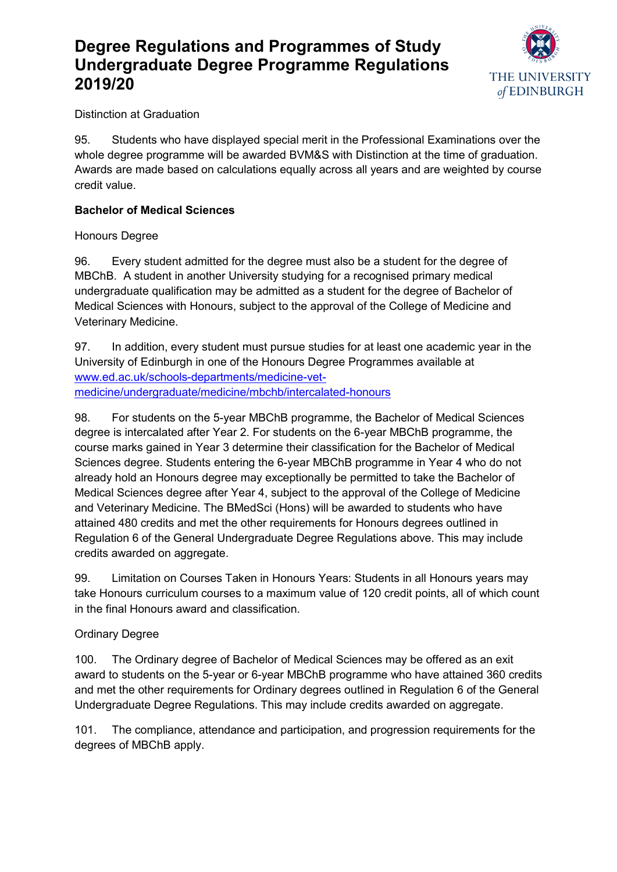

Distinction at Graduation

95. Students who have displayed special merit in the Professional Examinations over the whole degree programme will be awarded BVM&S with Distinction at the time of graduation. Awards are made based on calculations equally across all years and are weighted by course credit value.

### <span id="page-19-0"></span>**Bachelor of Medical Sciences**

Honours Degree

96. Every student admitted for the degree must also be a student for the degree of MBChB. A student in another University studying for a recognised primary medical undergraduate qualification may be admitted as a student for the degree of Bachelor of Medical Sciences with Honours, subject to the approval of the College of Medicine and Veterinary Medicine.

97. In addition, every student must pursue studies for at least one academic year in the University of Edinburgh in one of the Honours Degree Programmes available at [www.ed.ac.uk/schools-departments/medicine-vet](http://www.ed.ac.uk/schools-departments/medicine-vet-medicine/undergraduate/medicine/mbchb/intercalated-honours)[medicine/undergraduate/medicine/mbchb/intercalated-honours](http://www.ed.ac.uk/schools-departments/medicine-vet-medicine/undergraduate/medicine/mbchb/intercalated-honours)

98. For students on the 5-year MBChB programme, the Bachelor of Medical Sciences degree is intercalated after Year 2. For students on the 6-year MBChB programme, the course marks gained in Year 3 determine their classification for the Bachelor of Medical Sciences degree. Students entering the 6-year MBChB programme in Year 4 who do not already hold an Honours degree may exceptionally be permitted to take the Bachelor of Medical Sciences degree after Year 4, subject to the approval of the College of Medicine and Veterinary Medicine. The BMedSci (Hons) will be awarded to students who have attained 480 credits and met the other requirements for Honours degrees outlined in Regulation 6 of the General Undergraduate Degree Regulations above. This may include credits awarded on aggregate.

99. Limitation on Courses Taken in Honours Years: Students in all Honours years may take Honours curriculum courses to a maximum value of 120 credit points, all of which count in the final Honours award and classification.

### Ordinary Degree

100. The Ordinary degree of Bachelor of Medical Sciences may be offered as an exit award to students on the 5-year or 6-year MBChB programme who have attained 360 credits and met the other requirements for Ordinary degrees outlined in Regulation 6 of the General Undergraduate Degree Regulations. This may include credits awarded on aggregate.

<span id="page-19-1"></span>101. The compliance, attendance and participation, and progression requirements for the degrees of MBChB apply.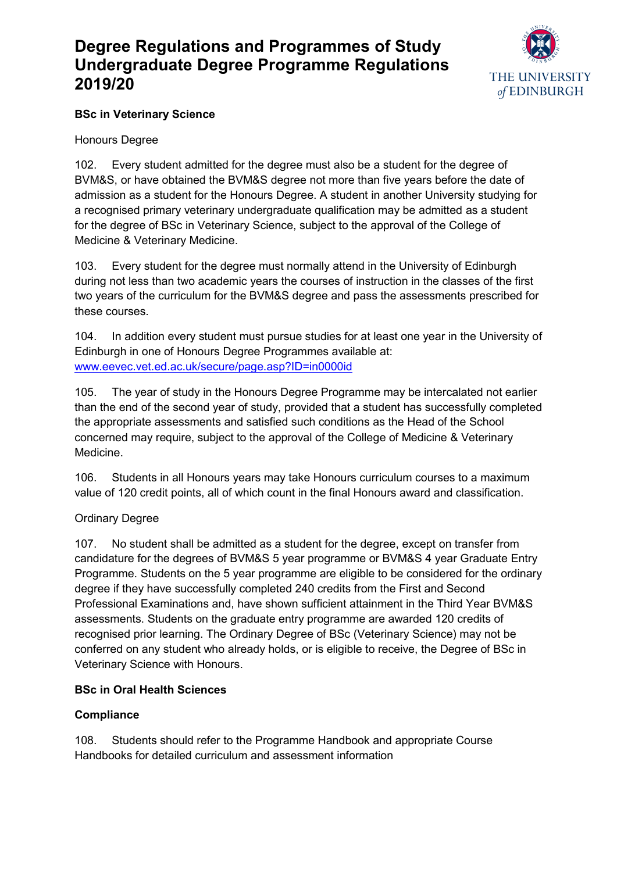

## **BSc in Veterinary Science**

### Honours Degree

102. Every student admitted for the degree must also be a student for the degree of BVM&S, or have obtained the BVM&S degree not more than five years before the date of admission as a student for the Honours Degree. A student in another University studying for a recognised primary veterinary undergraduate qualification may be admitted as a student for the degree of BSc in Veterinary Science, subject to the approval of the College of Medicine & Veterinary Medicine.

103. Every student for the degree must normally attend in the University of Edinburgh during not less than two academic years the courses of instruction in the classes of the first two years of the curriculum for the BVM&S degree and pass the assessments prescribed for these courses.

104. In addition every student must pursue studies for at least one year in the University of Edinburgh in one of Honours Degree Programmes available at: [www.eevec.vet.ed.ac.uk/secure/page.asp?ID=in0000id](https://www.eevec.vet.ed.ac.uk/secure/page.asp?ID=in0000id)

105. The year of study in the Honours Degree Programme may be intercalated not earlier than the end of the second year of study, provided that a student has successfully completed the appropriate assessments and satisfied such conditions as the Head of the School concerned may require, subject to the approval of the College of Medicine & Veterinary Medicine.

106. Students in all Honours years may take Honours curriculum courses to a maximum value of 120 credit points, all of which count in the final Honours award and classification.

## Ordinary Degree

107. No student shall be admitted as a student for the degree, except on transfer from candidature for the degrees of BVM&S 5 year programme or BVM&S 4 year Graduate Entry Programme. Students on the 5 year programme are eligible to be considered for the ordinary degree if they have successfully completed 240 credits from the First and Second Professional Examinations and, have shown sufficient attainment in the Third Year BVM&S assessments. Students on the graduate entry programme are awarded 120 credits of recognised prior learning. The Ordinary Degree of BSc (Veterinary Science) may not be conferred on any student who already holds, or is eligible to receive, the Degree of BSc in Veterinary Science with Honours.

## **BSc in Oral Health Sciences**

### **Compliance**

<span id="page-20-0"></span>108. Students should refer to the Programme Handbook and appropriate Course Handbooks for detailed curriculum and assessment information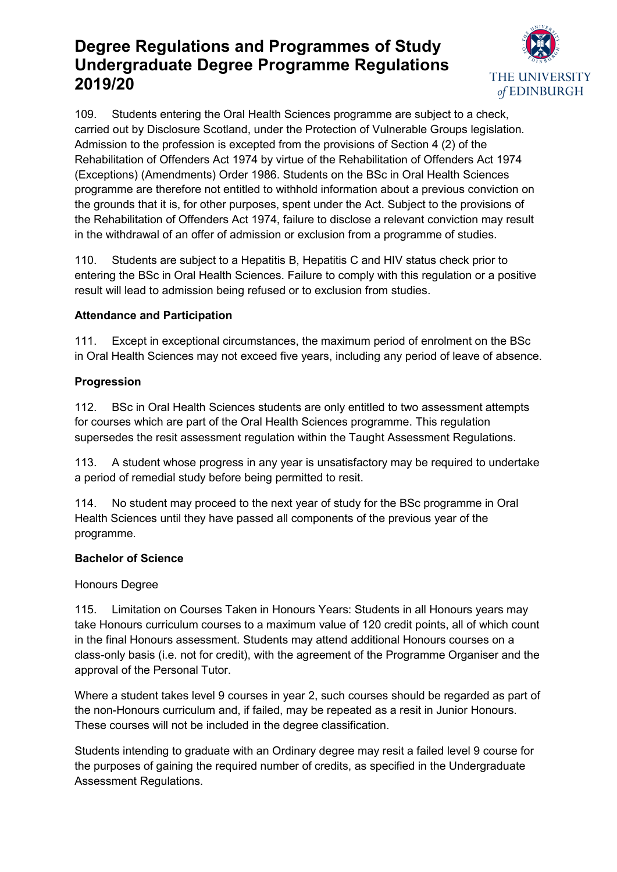

109. Students entering the Oral Health Sciences programme are subject to a check, carried out by Disclosure Scotland, under the Protection of Vulnerable Groups legislation. Admission to the profession is excepted from the provisions of Section 4 (2) of the Rehabilitation of Offenders Act 1974 by virtue of the Rehabilitation of Offenders Act 1974 (Exceptions) (Amendments) Order 1986. Students on the BSc in Oral Health Sciences programme are therefore not entitled to withhold information about a previous conviction on the grounds that it is, for other purposes, spent under the Act. Subject to the provisions of the Rehabilitation of Offenders Act 1974, failure to disclose a relevant conviction may result in the withdrawal of an offer of admission or exclusion from a programme of studies.

110. Students are subject to a Hepatitis B, Hepatitis C and HIV status check prior to entering the BSc in Oral Health Sciences. Failure to comply with this regulation or a positive result will lead to admission being refused or to exclusion from studies.

### **Attendance and Participation**

111. Except in exceptional circumstances, the maximum period of enrolment on the BSc in Oral Health Sciences may not exceed five years, including any period of leave of absence.

### **Progression**

112. BSc in Oral Health Sciences students are only entitled to two assessment attempts for courses which are part of the Oral Health Sciences programme. This regulation supersedes the resit assessment regulation within the Taught Assessment Regulations.

113. A student whose progress in any year is unsatisfactory may be required to undertake a period of remedial study before being permitted to resit.

114. No student may proceed to the next year of study for the BSc programme in Oral Health Sciences until they have passed all components of the previous year of the programme.

### <span id="page-21-0"></span>**Bachelor of Science**

### Honours Degree

115. Limitation on Courses Taken in Honours Years: Students in all Honours years may take Honours curriculum courses to a maximum value of 120 credit points, all of which count in the final Honours assessment. Students may attend additional Honours courses on a class-only basis (i.e. not for credit), with the agreement of the Programme Organiser and the approval of the Personal Tutor.

Where a student takes level 9 courses in year 2, such courses should be regarded as part of the non-Honours curriculum and, if failed, may be repeated as a resit in Junior Honours. These courses will not be included in the degree classification.

Students intending to graduate with an Ordinary degree may resit a failed level 9 course for the purposes of gaining the required number of credits, as specified in the Undergraduate Assessment Regulations.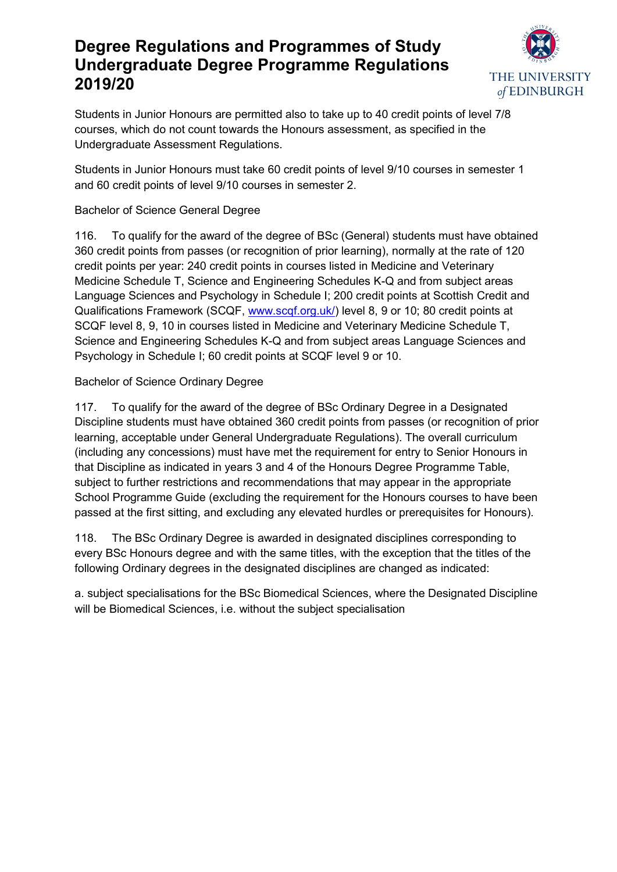

Students in Junior Honours are permitted also to take up to 40 credit points of level 7/8 courses, which do not count towards the Honours assessment, as specified in the Undergraduate Assessment Regulations.

Students in Junior Honours must take 60 credit points of level 9/10 courses in semester 1 and 60 credit points of level 9/10 courses in semester 2.

## Bachelor of Science General Degree

116. To qualify for the award of the degree of BSc (General) students must have obtained 360 credit points from passes (or recognition of prior learning), normally at the rate of 120 credit points per year: 240 credit points in courses listed in Medicine and Veterinary Medicine Schedule T, Science and Engineering Schedules K-Q and from subject areas Language Sciences and Psychology in Schedule I; 200 credit points at Scottish Credit and Qualifications Framework (SCQF, [www.scqf.org.uk/\)](http://www.scqf.org.uk/) level 8, 9 or 10; 80 credit points at SCQF level 8, 9, 10 in courses listed in Medicine and Veterinary Medicine Schedule T, Science and Engineering Schedules K-Q and from subject areas Language Sciences and Psychology in Schedule I; 60 credit points at SCQF level 9 or 10.

### Bachelor of Science Ordinary Degree

117. To qualify for the award of the degree of BSc Ordinary Degree in a Designated Discipline students must have obtained 360 credit points from passes (or recognition of prior learning, acceptable under General Undergraduate Regulations). The overall curriculum (including any concessions) must have met the requirement for entry to Senior Honours in that Discipline as indicated in years 3 and 4 of the Honours Degree Programme Table, subject to further restrictions and recommendations that may appear in the appropriate School Programme Guide (excluding the requirement for the Honours courses to have been passed at the first sitting, and excluding any elevated hurdles or prerequisites for Honours).

118. The BSc Ordinary Degree is awarded in designated disciplines corresponding to every BSc Honours degree and with the same titles, with the exception that the titles of the following Ordinary degrees in the designated disciplines are changed as indicated:

a. subject specialisations for the BSc Biomedical Sciences, where the Designated Discipline will be Biomedical Sciences, i.e. without the subject specialisation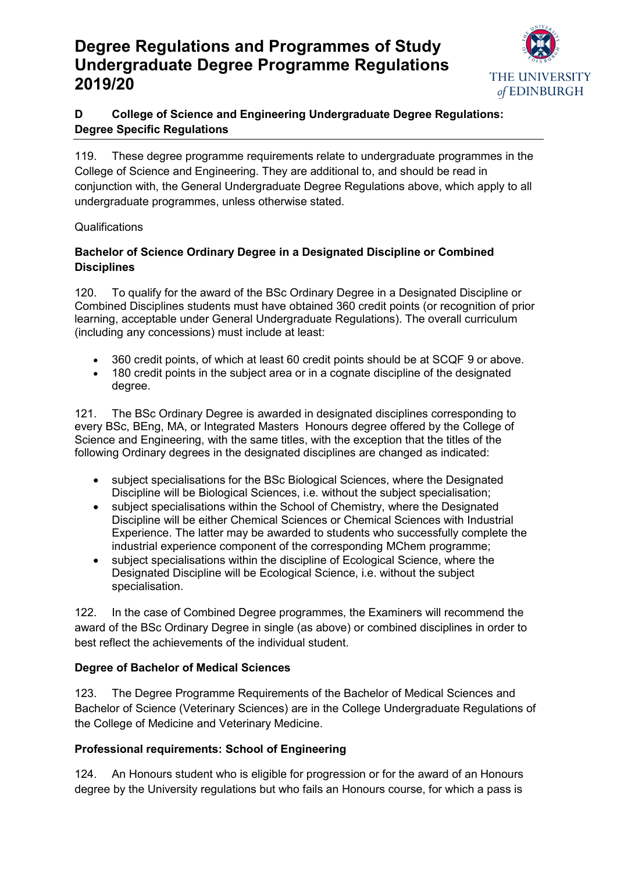

# **D College of Science and Engineering Undergraduate Degree Regulations: Degree Specific Regulations**

<span id="page-23-0"></span>119. These degree programme requirements relate to undergraduate programmes in the College of Science and Engineering. They are additional to, and should be read in conjunction with, the General Undergraduate Degree Regulations above, which apply to all undergraduate programmes, unless otherwise stated.

### **Qualifications**

### <span id="page-23-1"></span>**Bachelor of Science Ordinary Degree in a Designated Discipline or Combined Disciplines**

120. To qualify for the award of the BSc Ordinary Degree in a Designated Discipline or Combined Disciplines students must have obtained 360 credit points (or recognition of prior learning, acceptable under General Undergraduate Regulations). The overall curriculum (including any concessions) must include at least:

- 360 credit points, of which at least 60 credit points should be at SCQF 9 or above.
- 180 credit points in the subject area or in a cognate discipline of the designated degree.

121. The BSc Ordinary Degree is awarded in designated disciplines corresponding to every BSc, BEng, MA, or Integrated Masters Honours degree offered by the College of Science and Engineering, with the same titles, with the exception that the titles of the following Ordinary degrees in the designated disciplines are changed as indicated:

- subject specialisations for the BSc Biological Sciences, where the Designated Discipline will be Biological Sciences, i.e. without the subject specialisation;
- subject specialisations within the School of Chemistry, where the Designated Discipline will be either Chemical Sciences or Chemical Sciences with Industrial Experience. The latter may be awarded to students who successfully complete the industrial experience component of the corresponding MChem programme;
- subject specialisations within the discipline of Ecological Science, where the Designated Discipline will be Ecological Science, i.e. without the subject specialisation.

122. In the case of Combined Degree programmes, the Examiners will recommend the award of the BSc Ordinary Degree in single (as above) or combined disciplines in order to best reflect the achievements of the individual student.

## <span id="page-23-2"></span>**Degree of Bachelor of Medical Sciences**

123. The Degree Programme Requirements of the Bachelor of Medical Sciences and Bachelor of Science (Veterinary Sciences) are in the College Undergraduate Regulations of the College of Medicine and Veterinary Medicine.

## <span id="page-23-3"></span>**Professional requirements: School of Engineering**

124. An Honours student who is eligible for progression or for the award of an Honours degree by the University regulations but who fails an Honours course, for which a pass is